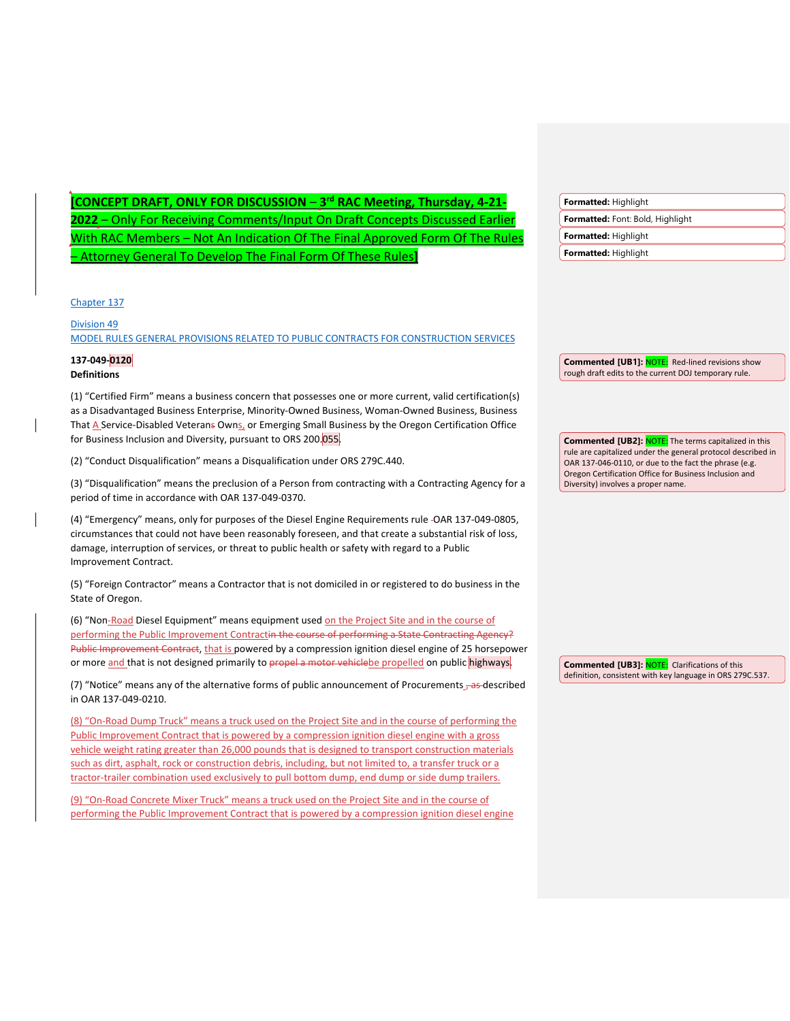| CONCEPT DRAFT, ONLY FOR DISCUSSION - 3 <sup>rd</sup> RAC Meeting, Thursday, 4-21-                                                                                                                                                                                                                                                                                                                                                                                                                                                                                                                                                                                                                                                         | Formatted: Highlight                                                                                                  |
|-------------------------------------------------------------------------------------------------------------------------------------------------------------------------------------------------------------------------------------------------------------------------------------------------------------------------------------------------------------------------------------------------------------------------------------------------------------------------------------------------------------------------------------------------------------------------------------------------------------------------------------------------------------------------------------------------------------------------------------------|-----------------------------------------------------------------------------------------------------------------------|
| 2022 - Only For Receiving Comments/Input On Draft Concepts Discussed Earlier                                                                                                                                                                                                                                                                                                                                                                                                                                                                                                                                                                                                                                                              | Formatted: Font: Bold, Highlight                                                                                      |
| <u> With RAC Members – Not An Indication Of The Final Approved Form Of The Rules</u>                                                                                                                                                                                                                                                                                                                                                                                                                                                                                                                                                                                                                                                      | Formatted: Highlight                                                                                                  |
| - Attorney General To Develop The Final Form Of These Rules]                                                                                                                                                                                                                                                                                                                                                                                                                                                                                                                                                                                                                                                                              | Formatted: Highlight                                                                                                  |
| Chapter 137                                                                                                                                                                                                                                                                                                                                                                                                                                                                                                                                                                                                                                                                                                                               |                                                                                                                       |
| <b>Division 49</b>                                                                                                                                                                                                                                                                                                                                                                                                                                                                                                                                                                                                                                                                                                                        |                                                                                                                       |
| MODEL RULES GENERAL PROVISIONS RELATED TO PUBLIC CONTRACTS FOR CONSTRUCTION SERVICES                                                                                                                                                                                                                                                                                                                                                                                                                                                                                                                                                                                                                                                      |                                                                                                                       |
| 137-049-0120                                                                                                                                                                                                                                                                                                                                                                                                                                                                                                                                                                                                                                                                                                                              | <b>Commented [UB1]: NOTE:</b> Red-lined revisions show                                                                |
| <b>Definitions</b>                                                                                                                                                                                                                                                                                                                                                                                                                                                                                                                                                                                                                                                                                                                        | rough draft edits to the current DOJ temporary rule.                                                                  |
| (1) "Certified Firm" means a business concern that possesses one or more current, valid certification(s)<br>as a Disadvantaged Business Enterprise, Minority-Owned Business, Woman-Owned Business, Business<br>That A Service-Disabled Veterans Owns, or Emerging Small Business by the Oregon Certification Office<br>for Business Inclusion and Diversity, pursuant to ORS 200.055.                                                                                                                                                                                                                                                                                                                                                     | <b>Commented [UB2]: NOTE:</b> The terms capitalized in this                                                           |
| (2) "Conduct Disqualification" means a Disqualification under ORS 279C.440.                                                                                                                                                                                                                                                                                                                                                                                                                                                                                                                                                                                                                                                               | rule are capitalized under the general protocol described in<br>OAR 137-046-0110, or due to the fact the phrase (e.g. |
| (3) "Disqualification" means the preclusion of a Person from contracting with a Contracting Agency for a<br>period of time in accordance with OAR 137-049-0370.                                                                                                                                                                                                                                                                                                                                                                                                                                                                                                                                                                           | Oregon Certification Office for Business Inclusion and<br>Diversity) involves a proper name.                          |
| (4) "Emergency" means, only for purposes of the Diesel Engine Requirements rule -OAR 137-049-0805,<br>circumstances that could not have been reasonably foreseen, and that create a substantial risk of loss,<br>damage, interruption of services, or threat to public health or safety with regard to a Public<br>Improvement Contract.                                                                                                                                                                                                                                                                                                                                                                                                  |                                                                                                                       |
| (5) "Foreign Contractor" means a Contractor that is not domiciled in or registered to do business in the<br>State of Oregon.                                                                                                                                                                                                                                                                                                                                                                                                                                                                                                                                                                                                              |                                                                                                                       |
| (6) "Non-Road Diesel Equipment" means equipment used on the Project Site and in the course of<br>performing the Public Improvement Contractin the course of performing a State Contracting Agency?<br>Public Improvement Contract, that is powered by a compression ignition diesel engine of 25 horsepower<br>or more and that is not designed primarily to propel a motor vehiclebe propelled on public highways.                                                                                                                                                                                                                                                                                                                       | <b>Commented [UB3]: NOTE:</b> Clarifications of this                                                                  |
| (7) "Notice" means any of the alternative forms of public announcement of Procurements 3-35-described<br>in OAR 137-049-0210.                                                                                                                                                                                                                                                                                                                                                                                                                                                                                                                                                                                                             | definition, consistent with key language in ORS 279C.537.                                                             |
| (8) "On-Road Dump Truck" means a truck used on the Project Site and in the course of performing the<br>Public Improvement Contract that is powered by a compression ignition diesel engine with a gross<br>vehicle weight rating greater than 26,000 pounds that is designed to transport construction materials<br>such as dirt, asphalt, rock or construction debris, including, but not limited to, a transfer truck or a<br>tractor-trailer combination used exclusively to pull bottom dump, end dump or side dump trailers.<br>(9) "On-Road Concrete Mixer Truck" means a truck used on the Project Site and in the course of<br>performing the Public Improvement Contract that is powered by a compression ignition diesel engine |                                                                                                                       |

 $\overline{\phantom{a}}$ 

 $\overline{\phantom{a}}$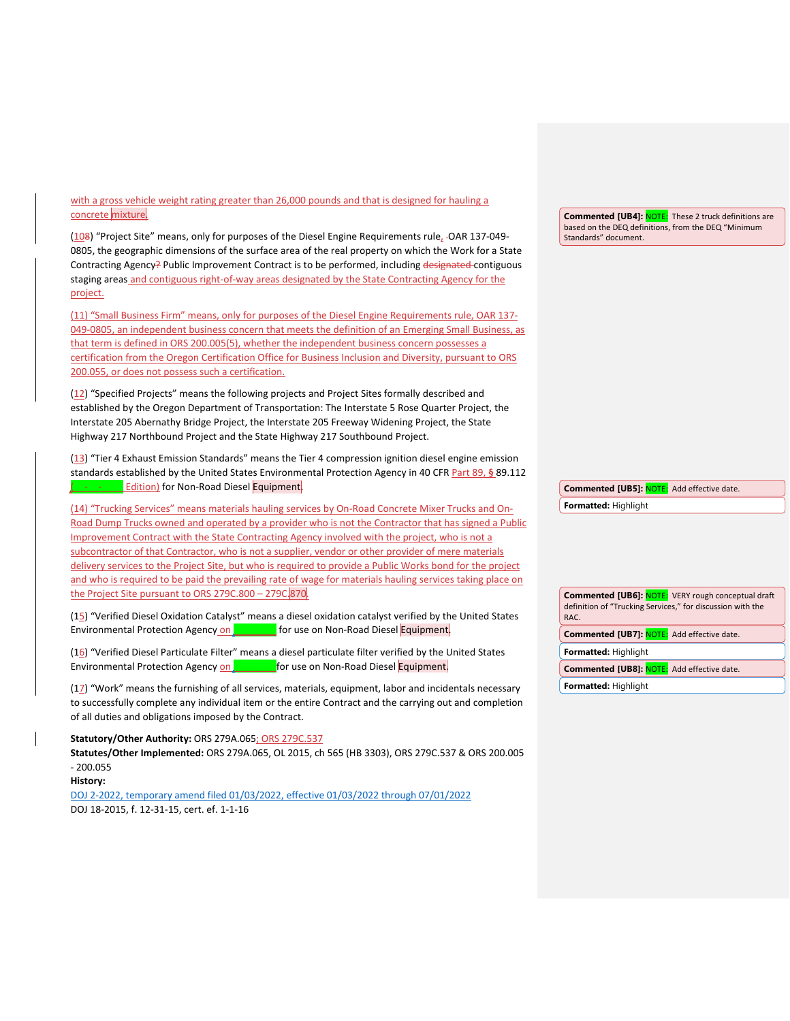with a gross vehicle weight rating greater than 26,000 pounds and that is designed for hauling a concrete mixture.

(108) "Project Site" means, only for purposes of the Diesel Engine Requirements rule, -OAR 137-049-0805, the geographic dimensions of the surface area of the real property on which the Work for a State Contracting Agency? Public Improvement Contract is to be performed, including designated contiguous staging areas and contiguous right-of-way areas designated by the State Contracting Agency for the project.

(11) "Small Business Firm" means, only for purposes of the Diesel Engine Requirements rule, OAR 137- 049-0805, an independent business concern that meets the definition of an Emerging Small Business, as that term is defined in ORS 200.005(5), whether the independent business concern possesses a certification from the Oregon Certification Office for Business Inclusion and Diversity, pursuant to ORS 200.055, or does not possess such a certification.

(12) "Specified Projects" means the following projects and Project Sites formally described and established by the Oregon Department of Transportation: The Interstate 5 Rose Quarter Project, the Interstate 205 Abernathy Bridge Project, the Interstate 205 Freeway Widening Project, the State Highway 217 Northbound Project and the State Highway 217 Southbound Project.

(13) "Tier 4 Exhaust Emission Standards" means the Tier 4 compression ignition diesel engine emission standards established by the United States Environmental Protection Agency in 40 CFR Part 89, **§** 89.112 Edition) for Non-Road Diesel Equipment.

(14) "Trucking Services" means materials hauling services by On-Road Concrete Mixer Trucks and On-Road Dump Trucks owned and operated by a provider who is not the Contractor that has signed a Public Improvement Contract with the State Contracting Agency involved with the project, who is not a subcontractor of that Contractor, who is not a supplier, vendor or other provider of mere materials delivery services to the Project Site, but who is required to provide a Public Works bond for the project and who is required to be paid the prevailing rate of wage for materials hauling services taking place on the Project Site pursuant to ORS 279C.800 – 279C.870.

(15) "Verified Diesel Oxidation Catalyst" means a diesel oxidation catalyst verified by the United States Environmental Protection Agency on \_\_\_\_\_\_\_\_ for use on Non-Road Diesel Equipment.

(16) "Verified Diesel Particulate Filter" means a diesel particulate filter verified by the United States Environmental Protection Agency on **Example 2** for use on Non-Road Diesel Equipment.

(17) "Work" means the furnishing of all services, materials, equipment, labor and incidentals necessary to successfully complete any individual item or the entire Contract and the carrying out and completion of all duties and obligations imposed by the Contract.

**Statutory/Other Authority:** ORS 279A.065; ORS 279C.537

**Statutes/Other Implemented:** ORS 279A.065, OL 2015, ch 565 (HB 3303), ORS 279C.537 & ORS 200.005 - 200.055

**History:**

[DOJ 2-2022, temporary amend filed 01/03/2022, effective 01/03/2022 through 07/01/2022](https://secure.sos.state.or.us/oard/viewReceiptTRIM.action?ptId=8582006) DOJ 18-2015, f. 12-31-15, cert. ef. 1-1-16

**Commented [UB4]: NOTE:** These 2 truck definitions are based on the DEQ definitions, from the DEQ "Minimum Standards" document.

**Formatted:** Highlight **Commented [UB5]:** NOTE: Add effective date.

**Commented [UB6]:** NOTE: VERY rough conceptual draft definition of "Trucking Services," for discussion with the RAC. **Formatted:** Highlight **Commented [UB7]:** NOTE: Add effective date. **Formatted:** Highlight **Commented [UB8]:** NOTE: Add effective date.